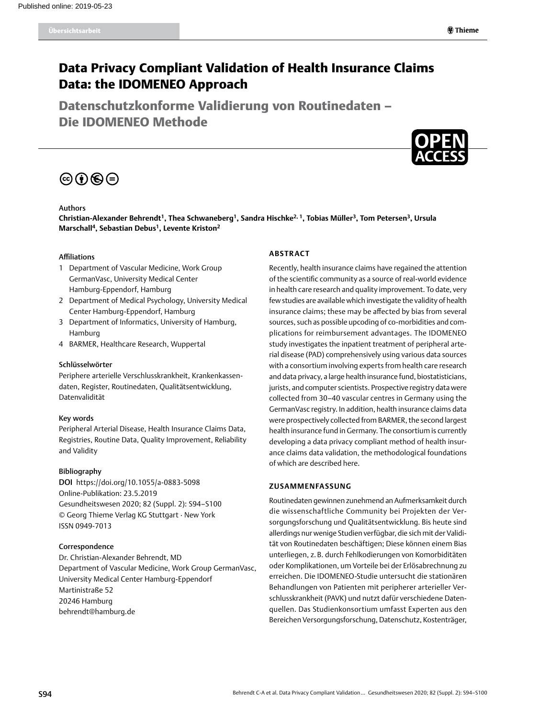# Data Privacy Compliant Validation of Health Insurance Claims Data: the IDOMENEO Approach

Datenschutzkonforme Validierung von Routinedaten – Die IDOMENEO Methode



#### Authors

**Christian-Alexander Behrendt1, Thea Schwaneberg1, Sandra Hischke2, 1, Tobias Müller3, Tom Petersen3, Ursula Marschall4, Sebastian Debus1, Levente Kriston2**

#### Affiliations

- 1 Department of Vascular Medicine, Work Group GermanVasc, University Medical Center Hamburg-Eppendorf, Hamburg
- 2 Department of Medical Psychology, University Medical Center Hamburg-Eppendorf, Hamburg
- 3 Department of Informatics, University of Hamburg, Hamburg
- 4 BARMER, Healthcare Research, Wuppertal

#### Schlüsselwörter

Periphere arterielle Verschlusskrankheit, Krankenkassendaten, Register, Routinedaten, Qualitätsentwicklung, Datenvalidität

#### Key words

Peripheral Arterial Disease, Health Insurance Claims Data, Registries, Routine Data, Quality Improvement, Reliability and Validity

### Bibliography

DOI https://doi.org/10.1055/a-0883-5098 Online-Publikation: 23.5.2019 Gesundheitswesen 2020; 82 (Suppl. 2): S94–S100 © Georg Thieme Verlag KG Stuttgart · New York ISSN 0949-7013

### Correspondence

Dr. Christian-Alexander Behrendt, MD Department of Vascular Medicine, Work Group GermanVasc, University Medical Center Hamburg-Eppendorf Martinistraße 52 20246 Hamburg [behrendt@hamburg.de](behrendt%40hamburg.de)

### **Abstract**

Recently, health insurance claims have regained the attention of the scientific community as a source of real-world evidence in health care research and quality improvement. To date, very few studies are available which investigate the validity of health insurance claims; these may be affected by bias from several sources, such as possible upcoding of co-morbidities and complications for reimbursement advantages. The IDOMENEO study investigates the inpatient treatment of peripheral arterial disease (PAD) comprehensively using various data sources with a consortium involving experts from health care research and data privacy, a large health insurance fund, biostatisticians, jurists, and computer scientists. Prospective registry data were collected from 30–40 vascular centres in Germany using the GermanVasc registry. In addition, health insurance claims data were prospectively collected from BARMER, the second largest health insurance fund in Germany. The consortium is currently developing a data privacy compliant method of health insurance claims data validation, the methodological foundations of which are described here.

### **Zusammenfassung**

Routinedaten gewinnen zunehmend an Aufmerksamkeit durch die wissenschaftliche Community bei Projekten der Versorgungsforschung und Qualitätsentwicklung. Bis heute sind allerdings nur wenige Studien verfügbar, die sich mit der Validität von Routinedaten beschäftigen; Diese können einem Bias unterliegen, z. B. durch Fehlkodierungen von Komorbiditäten oder Komplikationen, um Vorteile bei der Erlösabrechnung zu erreichen. Die IDOMENEO-Studie untersucht die stationären Behandlungen von Patienten mit peripherer arterieller Verschlusskrankheit (PAVK) und nutzt dafür verschiedene Datenquellen. Das Studienkonsortium umfasst Experten aus den Bereichen Versorgungsforschung, Datenschutz, Kostenträger,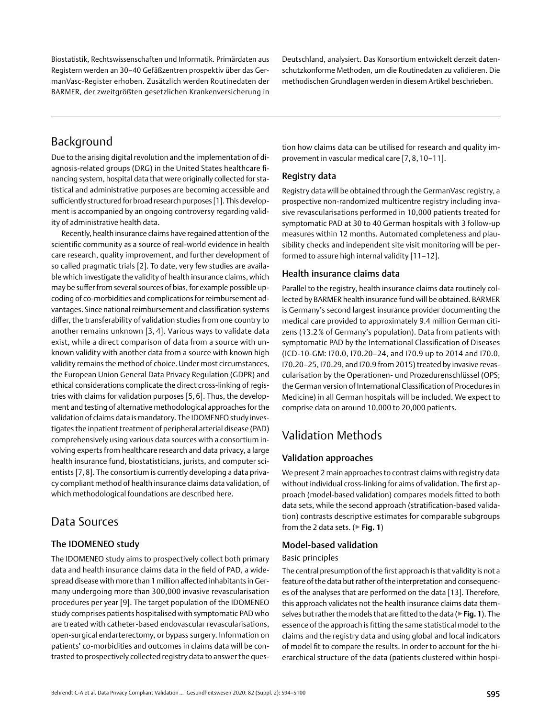Biostatistik, Rechtswissenschaften und Informatik. Primärdaten aus Registern werden an 30–40 Gefäßzentren prospektiv über das GermanVasc-Register erhoben. Zusätzlich werden Routinedaten der BARMER, der zweitgrößten gesetzlichen Krankenversicherung in Deutschland, analysiert. Das Konsortium entwickelt derzeit datenschutzkonforme Methoden, um die Routinedaten zu validieren. Die methodischen Grundlagen werden in diesem Artikel beschrieben.

# Background

Due to the arising digital revolution and the implementation of diagnosis-related groups (DRG) in the United States healthcare financing system, hospital data that were originally collected for statistical and administrative purposes are becoming accessible and sufficiently structured for broad research purposes [1]. This development is accompanied by an ongoing controversy regarding validity of administrative health data.

Recently, health insurance claims have regained attention of the scientific community as a source of real-world evidence in health care research, quality improvement, and further development of so called pragmatic trials [2]. To date, very few studies are available which investigate the validity of health insurance claims, which may be suffer from several sources of bias, for example possible upcoding of co-morbidities and complications for reimbursement advantages. Since national reimbursement and classification systems differ, the transferability of validation studies from one country to another remains unknown [3, 4]. Various ways to validate data exist, while a direct comparison of data from a source with unknown validity with another data from a source with known high validity remains the method of choice. Under most circumstances, the European Union General Data Privacy Regulation (GDPR) and ethical considerations complicate the direct cross-linking of registries with claims for validation purposes [5, 6]. Thus, the development and testing of alternative methodological approaches for the validation of claims data is mandatory. The IDOMENEO study investigates the inpatient treatment of peripheral arterial disease (PAD) comprehensively using various data sources with a consortium involving experts from healthcare research and data privacy, a large health insurance fund, biostatisticians, jurists, and computer scientists [7, 8]. The consortium is currently developing a data privacy compliant method of health insurance claims data validation, of which methodological foundations are described here.

## Data Sources

## The IDOMENEO study

The IDOMENEO study aims to prospectively collect both primary data and health insurance claims data in the field of PAD, a widespread disease with more than 1 million affected inhabitants in Germany undergoing more than 300,000 invasive revascularisation procedures per year [9]. The target population of the IDOMENEO study comprises patients hospitalised with symptomatic PAD who are treated with catheter-based endovascular revascularisations, open-surgical endarterectomy, or bypass surgery. Information on patients' co-morbidities and outcomes in claims data will be contrasted to prospectively collected registry data to answer the question how claims data can be utilised for research and quality improvement in vascular medical care [7, 8, 10–11].

## Registry data

Registry data will be obtained through the GermanVasc registry, a prospective non-randomized multicentre registry including invasive revascularisations performed in 10,000 patients treated for symptomatic PAD at 30 to 40 German hospitals with 3 follow-up measures within 12 months. Automated completeness and plausibility checks and independent site visit monitoring will be performed to assure high internal validity [11–12].

## Health insurance claims data

Parallel to the registry, health insurance claims data routinely collected by BARMER health insurance fund will be obtained. BARMER is Germany's second largest insurance provider documenting the medical care provided to approximately 9.4 million German citizens (13.2 % of Germany's population). Data from patients with symptomatic PAD by the International Classification of Diseases (ICD-10-GM: I70.0, I70.20–24, and I70.9 up to 2014 and I70.0, I70.20–25, I70.29, and I70.9 from 2015) treated by invasive revascularisation by the Operationen- und Prozedurenschlüssel (OPS; the German version of International Classification of Procedures in Medicine) in all German hospitals will be included. We expect to comprise data on around 10,000 to 20,000 patients.

# Validation Methods

## Validation approaches

We present 2 main approaches to contrast claims with registry data without individual cross-linking for aims of validation. The first approach (model-based validation) compares models fitted to both data sets, while the second approach (stratification-based validation) contrasts descriptive estimates for comparable subgroups from the 2 data sets. (▶**Fig. 1**)

## Model-based validation

## Basic principles

The central presumption of the first approach is that validity is not a feature of the data but rather of the interpretation and consequences of the analyses that are performed on the data [13]. Therefore, this approach validates not the health insurance claims data themselves but rather the models that are fitted to the data (▶**Fig. 1**). The essence of the approach is fitting the same statistical model to the claims and the registry data and using global and local indicators of model fit to compare the results. In order to account for the hierarchical structure of the data (patients clustered within hospi-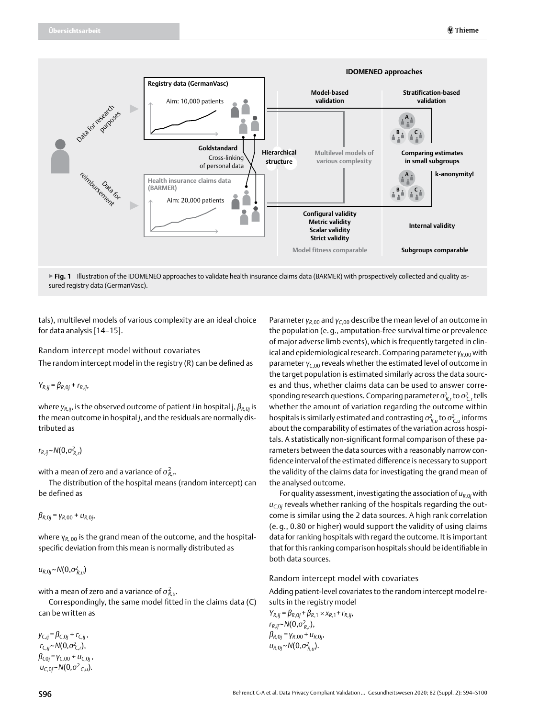

▶ Fig. 1 Illustration of the IDOMENEO approaches to validate health insurance claims data (BARMER) with prospectively collected and quality assured registry data (GermanVasc).

tals), multilevel models of various complexity are an ideal choice for data analysis [14–15].

Random intercept model without covariates The random intercept model in the registry (R) can be defined as

*YR,ij* = *βR*,0*<sup>j</sup>* + *rR,ij*,

where *yR,ij*, is the observed outcome of patient *i* in hospital j, *βR,0j* is the mean outcome in hospital *j*, and the residuals are normally distributed as

*rR,ij~N*(0,*σ<sup>2</sup> R,r*)

with a mean of zero and a variance of *σ*<sup>2</sup> *R,r*.

The distribution of the hospital means (random intercept) can be defined as

*βR,*0*<sup>j</sup>* = *γR*,00 + *uR,*<sup>0</sup>*<sup>j</sup>* ,

where γ<sub>R, 00</sub> is the grand mean of the outcome, and the hospitalspecific deviation from this mean is normally distributed as

*uR,*<sup>0</sup>*<sup>j</sup> ~N*(0,*σ<sup>2</sup> R,u*)

with a mean of zero and a variance of *σ*<sup>2</sup> *R,u*.

Correspondingly, the same model fitted in the claims data (C) can be written as

*yC,ij* =*βC*,0*<sup>j</sup>* + *rC,ij , r<sub>C,ij</sub>*∼*N*(0,σ<sup>2</sup><sub>C,r</sub>), *βC*0*<sup>j</sup>  = γC,*<sup>00</sup> *+ uC,*<sup>0</sup>*<sup>j</sup> , u*<sub>*C*,0*j*</sub> ∼*N*(0*,σ*<sup>2</sup><sub>*C,u*</sub>).

Parameter *γR*,00 and *γC*,00 describe the mean level of an outcome in the population (e. g., amputation-free survival time or prevalence of major adverse limb events), which is frequently targeted in clinical and epidemiological research. Comparing parameter *γR*,00 with parameter *γC*,00 reveals whether the estimated level of outcome in the target population is estimated similarly across the data sources and thus, whether claims data can be used to answer corresponding research questions. Comparing parameter *σ<sup>2</sup> R,r* to *σ<sup>2</sup> C,r* tells whether the amount of variation regarding the outcome within hospitals is similarly estimated and contrasting *σ<sup>2</sup> R,u* to *σ<sup>2</sup> C,u* informs about the comparability of estimates of the variation across hospitals. A statistically non-significant formal comparison of these parameters between the data sources with a reasonably narrow confidence interval of the estimated difference is necessary to support the validity of the claims data for investigating the grand mean of the analysed outcome.

For quality assessment, investigating the association of  $u_{R,0j}$  with  $u_{\mathsf{C},0j}$  reveals whether ranking of the hospitals regarding the outcome is similar using the 2 data sources. A high rank correlation (e. g., 0.80 or higher) would support the validity of using claims data for ranking hospitals with regard the outcome. It is important that for this ranking comparison hospitals should be identifiable in both data sources.

Random intercept model with covariates

Adding patient-level covariates to the random intercept model results in the registry model

*YR,ij* = *βR*,0*<sup>j</sup>* + *βR*,1 × *xR,*1+ *rR,ij*, *rR,ij~N*(0,*σ<sup>2</sup> R,r*), *βR,*0*<sup>j</sup>* = *γR*,00 + *uR,*<sup>0</sup>*<sup>j</sup>* , *u<sub>R,0j</sub>* ∼ *N*(0,σ<sup>2</sup><sub>*R,u*</sub>).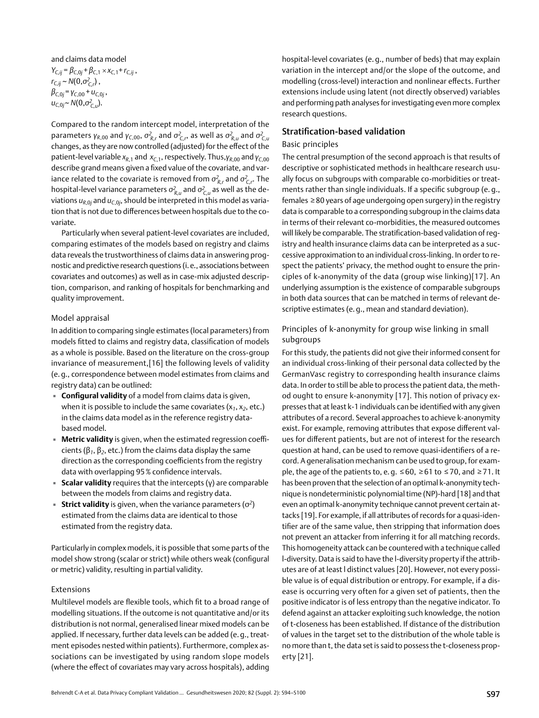and claims data model  $Y_{C,ij} = \beta_{C,0j} + \beta_{C,1} \times X_{C,1} + r_{C,ij}$ *rC,ij ~ N*(0,*σ<sup>2</sup> C,r*) ,  $\beta_{C,0j} = \gamma_{C,00} + u_{C,0j}$ , *uC,*<sup>0</sup>*<sup>j</sup> ~ N*(0,*σ<sup>2</sup> C,u*).

Compared to the random intercept model, interpretation of the parameters  $γ_{R,00}$  and  $γ_{C,00}$ ,  $σ_{R,r}^2$  and  $σ_{C,r}^2$ , as well as  $σ_{R,u}^2$  and  $σ_{C,u}^2$ changes, as they are now controlled (adjusted) for the effect of the patient-level variable *xR*,1 and *xC*,1, respectively. Thus,*γR*,00 and *γC*,00 describe grand means given a fixed value of the covariate, and variance related to the covariate is removed from  $\sigma^2_{R,r}$  and  $\sigma^2_{C,r}$ . The hospital-level variance parameters *σ<sup>2</sup> R,u* and *σ<sup>2</sup> C,u* as well as the deviations  $u_{R,0j}$  and  $u_{C,0j}$ , should be interpreted in this model as variation that is not due to differences between hospitals due to the covariate.

Particularly when several patient-level covariates are included, comparing estimates of the models based on registry and claims data reveals the trustworthiness of claims data in answering prognostic and predictive research questions (i.e., associations between covariates and outcomes) as well as in case-mix adjusted description, comparison, and ranking of hospitals for benchmarking and quality improvement.

### Model appraisal

In addition to comparing single estimates (local parameters) from models fitted to claims and registry data, classification of models as a whole is possible. Based on the literature on the cross-group invariance of measurement,[16] the following levels of validity (e. g., correspondence between model estimates from claims and registry data) can be outlined:

- **EX Configural validity** of a model from claims data is given, when it is possible to include the same covariates  $(x_1, x_2,$  etc.) in the claims data model as in the reference registry databased model.
- **Metric validity** is given, when the estimated regression coefficients (β*1*, β*2*, etc.) from the claims data display the same direction as the corresponding coefficients from the registry data with overlapping 95% confidence intervals.
- **Scalar validity** requires that the intercepts (γ) are comparable between the models from claims and registry data.
- **Strict validity** is given, when the variance parameters  $(\sigma^2)$ estimated from the claims data are identical to those estimated from the registry data.

Particularly in complex models, it is possible that some parts of the model show strong (scalar or strict) while others weak (configural or metric) validity, resulting in partial validity.

#### Extensions

Multilevel models are flexible tools, which fit to a broad range of modelling situations. If the outcome is not quantitative and/or its distribution is not normal, generalised linear mixed models can be applied. If necessary, further data levels can be added (e. g., treatment episodes nested within patients). Furthermore, complex associations can be investigated by using random slope models (where the effect of covariates may vary across hospitals), adding hospital-level covariates (e. g., number of beds) that may explain variation in the intercept and/or the slope of the outcome, and modelling (cross-level) interaction and nonlinear effects. Further extensions include using latent (not directly observed) variables and performing path analyses for investigating even more complex research questions.

## Stratification-based validation

#### Basic principles

The central presumption of the second approach is that results of descriptive or sophisticated methods in healthcare research usually focus on subgroups with comparable co-morbidities or treatments rather than single individuals. If a specific subgroup (e. g., females ≥80 years of age undergoing open surgery) in the registry data is comparable to a corresponding subgroup in the claims data in terms of their relevant co-morbidities, the measured outcomes will likely be comparable. The stratification-based validation of registry and health insurance claims data can be interpreted as a successive approximation to an individual cross-linking. In order to respect the patients' privacy, the method ought to ensure the principles of k-anonymity of the data (group wise linking)[17]. An underlying assumption is the existence of comparable subgroups in both data sources that can be matched in terms of relevant descriptive estimates (e. g., mean and standard deviation).

## Principles of k-anonymity for group wise linking in small subgroups

For this study, the patients did not give their informed consent for an individual cross-linking of their personal data collected by the GermanVasc registry to corresponding health insurance claims data. In order to still be able to process the patient data, the method ought to ensure k-anonymity [17]. This notion of privacy expresses that at least k-1 individuals can be identified with any given attributes of a record. Several approaches to achieve k-anonymity exist. For example, removing attributes that expose different values for different patients, but are not of interest for the research question at hand, can be used to remove quasi-identifiers of a record. A generalisation mechanism can be used to group, for example, the age of the patients to, e. g. ≤ 60, ≥ 61 to ≤ 70, and ≥ 71. It has been proven that the selection of an optimal k-anonymity technique is nondeterministic polynomial time (NP)-hard [18] and that even an optimal k-anonymity technique cannot prevent certain attacks [19]. For example, if all attributes of records for a quasi-identifier are of the same value, then stripping that information does not prevent an attacker from inferring it for all matching records. This homogeneity attack can be countered with a technique called l-diversity. Data is said to have the l-diversity property if the attributes are of at least l distinct values [20]. However, not every possible value is of equal distribution or entropy. For example, if a disease is occurring very often for a given set of patients, then the positive indicator is of less entropy than the negative indicator. To defend against an attacker exploiting such knowledge, the notion of t-closeness has been established. If distance of the distribution of values in the target set to the distribution of the whole table is no more than t, the data set is said to possess the t-closeness property [21].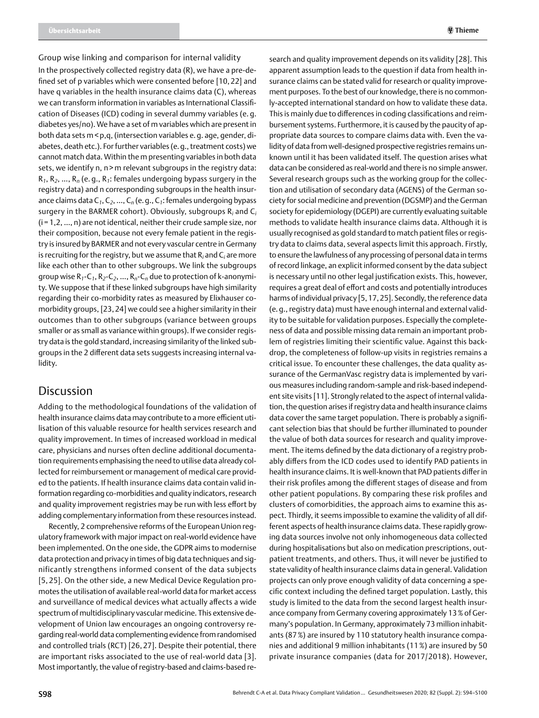Group wise linking and comparison for internal validity

In the prospectively collected registry data (R), we have a pre-defined set of p variables which were consented before [10, 22] and have q variables in the health insurance claims data (C), whereas we can transform information in variables as International Classification of Diseases (ICD) coding in several dummy variables (e. g. diabetes yes/no). We have a set of m variables which are present in both data sets m< p,q, (intersection variables e. g. age, gender, diabetes, death etc.). For further variables (e.g., treatment costs) we cannot match data. Within the m presenting variables in both data sets, we identify n, n > m relevant subgroups in the registry data: R*1*, R*2*, …, R*n* (e. g., R*1*: females undergoing bypass surgery in the registry data) and n corresponding subgroups in the health insurance claims data C*1*, C*2*, …, C*n* (e.g., C*1*: females undergoing bypass surgery in the BARMER cohort). Obviously, subgroups R*<sup>i</sup>* and C*<sup>i</sup>*  $(i = 1, 2, ..., n)$  are not identical, neither their crude sample size, nor their composition, because not every female patient in the registry is insured by BARMER and not every vascular centre in Germany is recruiting for the registry, but we assume that  $\mathsf{R}_i$  and  $\mathsf{C}_i$  are more like each other than to other subgroups. We link the subgroups group wise R*1*-C*1*, R*2*-C*2*, …, R*n*-C*n* due to protection of k-anonymity. We suppose that if these linked subgroups have high similarity regarding their co-morbidity rates as measured by Elixhauser comorbidity groups, [23, 24] we could see a higher similarity in their outcomes than to other subgroups (variance between groups smaller or as small as variance within groups). If we consider registry data is the gold standard, increasing similarity of the linked subgroups in the 2 different data sets suggests increasing internal validity.

## **Discussion**

Adding to the methodological foundations of the validation of health insurance claims data may contribute to a more efficient utilisation of this valuable resource for health services research and quality improvement. In times of increased workload in medical care, physicians and nurses often decline additional documentation requirements emphasising the need to utilise data already collected for reimbursement or management of medical care provided to the patients. If health insurance claims data contain valid information regarding co-morbidities and quality indicators, research and quality improvement registries may be run with less effort by adding complementary information from these resources instead.

Recently, 2 comprehensive reforms of the European Union regulatory framework with major impact on real-world evidence have been implemented. On the one side, the GDPR aims to modernise data protection and privacy in times of big data techniques and significantly strengthens informed consent of the data subjects [5, 25]. On the other side, a new Medical Device Regulation promotes the utilisation of available real-world data for market access and surveillance of medical devices what actually affects a wide spectrum of multidisciplinary vascular medicine. This extensive development of Union law encourages an ongoing controversy regarding real-world data complementing evidence from randomised and controlled trials (RCT) [26, 27]. Despite their potential, there are important risks associated to the use of real-world data [3]. Most importantly, the value of registry-based and claims-based re-

search and quality improvement depends on its validity [28]. This apparent assumption leads to the question if data from health insurance claims can be stated valid for research or quality improvement purposes. To the best of our knowledge, there is no commonly-accepted international standard on how to validate these data. This is mainly due to differences in coding classifications and reimbursement systems. Furthermore, it is caused by the paucity of appropriate data sources to compare claims data with. Even the validity of data from well-designed prospective registries remains unknown until it has been validated itself. The question arises what data can be considered as real-world and there is no simple answer. Several research groups such as the working group for the collection and utilisation of secondary data (AGENS) of the German society for social medicine and prevention (DGSMP) and the German society for epidemiology (DGEPI) are currently evaluating suitable methods to validate health insurance claims data. Although it is usually recognised as gold standard to match patient files or registry data to claims data, several aspects limit this approach. Firstly, to ensure the lawfulness of any processing of personal data in terms of record linkage, an explicit informed consent by the data subject is necessary until no other legal justification exists. This, however, requires a great deal of effort and costs and potentially introduces harms of individual privacy [5,17,25]. Secondly, the reference data (e. g., registry data) must have enough internal and external validity to be suitable for validation purposes. Especially the completeness of data and possible missing data remain an important problem of registries limiting their scientific value. Against this backdrop, the completeness of follow-up visits in registries remains a critical issue. To encounter these challenges, the data quality assurance of the GermanVasc registry data is implemented by various measures including random-sample and risk-based independent site visits [11]. Strongly related to the aspect of internal validation, the question arises if registry data and health insurance claims data cover the same target population. There is probably a significant selection bias that should be further illuminated to pounder the value of both data sources for research and quality improvement. The items defined by the data dictionary of a registry probably differs from the ICD codes used to identify PAD patients in health insurance claims. It is well-known that PAD patients differ in their risk profiles among the different stages of disease and from other patient populations. By comparing these risk profiles and clusters of comorbidities, the approach aims to examine this aspect. Thirdly, it seems impossible to examine the validity of all different aspects of health insurance claims data. These rapidly growing data sources involve not only inhomogeneous data collected during hospitalisations but also on medication prescriptions, outpatient treatments, and others. Thus, it will never be justified to state validity of health insurance claims data in general. Validation projects can only prove enough validity of data concerning a specific context including the defined target population. Lastly, this study is limited to the data from the second largest health insurance company from Germany covering approximately 13% of Germany's population. In Germany, approximately 73 million inhabitants (87%) are insured by 110 statutory health insurance companies and additional 9 million inhabitants (11%) are insured by 50 private insurance companies (data for 2017/2018). However,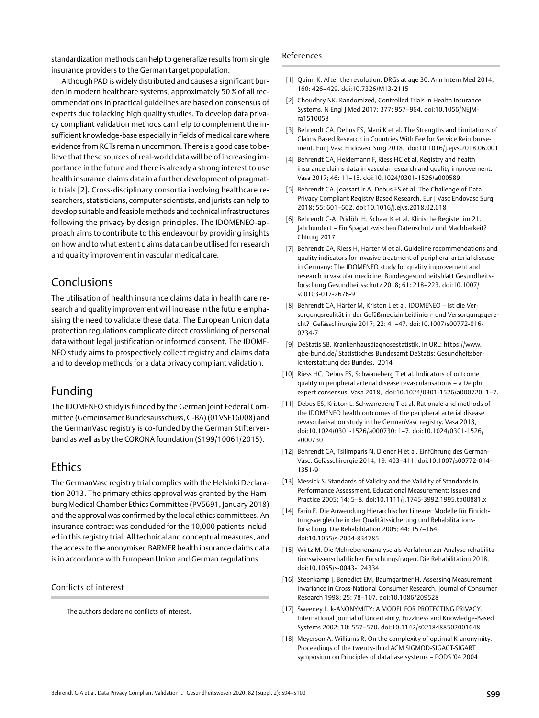standardization methods can help to generalize results from single insurance providers to the German target population.

Although PAD is widely distributed and causes a significant burden in modern healthcare systems, approximately 50% of all recommendations in practical guidelines are based on consensus of experts due to lacking high quality studies. To develop data privacy compliant validation methods can help to complement the insufficient knowledge-base especially in fields of medical care where evidence from RCTs remain uncommon. There is a good case to believe that these sources of real-world data will be of increasing importance in the future and there is already a strong interest to use health insurance claims data in a further development of pragmatic trials [2]. Cross-disciplinary consortia involving healthcare researchers, statisticians, computer scientists, and jurists can help to develop suitable and feasible methods and technical infrastructures following the privacy by design principles. The IDOMENEO-approach aims to contribute to this endeavour by providing insights on how and to what extent claims data can be utilised for research and quality improvement in vascular medical care.

# Conclusions

The utilisation of health insurance claims data in health care research and quality improvement will increase in the future emphasising the need to validate these data. The European Union data protection regulations complicate direct crosslinking of personal data without legal justification or informed consent. The IDOME-NEO study aims to prospectively collect registry and claims data and to develop methods for a data privacy compliant validation.

# Funding

The IDOMENEO study is funded by the German Joint Federal Committee (Gemeinsamer Bundesausschuss, G-BA) (01VSF16008) and the GermanVasc registry is co-funded by the German Stifterverband as well as by the CORONA foundation (S199/10061/2015).

## Ethics

The GermanVasc registry trial complies with the Helsinki Declaration 2013. The primary ethics approval was granted by the Hamburg Medical Chamber Ethics Committee (PV5691, January 2018) and the approval was confirmed by the local ethics committees. An insurance contract was concluded for the 10,000 patients included in this registry trial. All technical and conceptual measures, and the access to the anonymised BARMER health insurance claims data is in accordance with European Union and German regulations.

## Conflicts of interest

The authors declare no conflicts of interest.

### References

- [1] Quinn K. After the revolution: DRGs at age 30. Ann Intern Med 2014; 160: 426–429. doi:10.7326/M13-2115
- [2] Choudhry NK, Randomized, Controlled Trials in Health Insurance Systems. N Engl J Med 2017; 377: 957–964. doi:10.1056/NEJMra1510058
- [3] Behrendt CA, Debus ES, Mani K et al. The Strengths and Limitations of Claims Based Research in Countries With Fee for Service Reimbursement. Eur J Vasc Endovasc Surg 2018, doi:10.1016/j.ejvs.2018.06.001
- [4] Behrendt CA, Heidemann F, Riess HC et al. Registry and health insurance claims data in vascular research and quality improvement. Vasa 2017; 46: 11–15. doi:10.1024/0301-1526/a000589
- [5] Behrendt CA, Joassart Ir A, Debus ES et al. The Challenge of Data Privacy Compliant Registry Based Research. Eur J Vasc Endovasc Surg 2018; 55: 601–602. doi:10.1016/j.ejvs.2018.02.018
- [6] Behrendt C-A, Pridöhl H, Schaar K et al. Klinische Register im 21. Jahrhundert – Ein Spagat zwischen Datenschutz und Machbarkeit? Chirurg 2017
- [7] Behrendt CA, Riess H, Harter M et al. Guideline recommendations and quality indicators for invasive treatment of peripheral arterial disease in Germany: The IDOMENEO study for quality improvement and research in vascular medicine. Bundesgesundheitsblatt Gesundheitsforschung Gesundheitsschutz 2018; 61: 218–223. doi:10.1007/ s00103-017-2676-9
- [8] Behrendt CA, Härter M, Kriston L et al. IDOMENEO Ist die Versorgungsrealität in der Gefäßmedizin Leitlinien- und Versorgungsgerecht? Gefässchirurgie 2017; 22: 41–47. doi:10.1007/s00772-016- 0234-7
- [9] DeStatis SB. Krankenhausdiagnosestatistik. In URL: [https://www.](http://https://www.gbe-bund.de/) [gbe-bund.de/](http://https://www.gbe-bund.de/) Statistisches Bundesamt DeStatis: Gesundheitsberichterstattung des Bundes. 2014
- [10] Riess HC, Debus ES, Schwaneberg T et al. Indicators of outcome quality in peripheral arterial disease revascularisations – a Delphi expert consensus. Vasa 2018, doi:10.1024/0301-1526/a000720: 1–7.
- [11] Debus ES, Kriston L, Schwaneberg T et al. Rationale and methods of the IDOMENEO health outcomes of the peripheral arterial disease revascularisation study in the GermanVasc registry. Vasa 2018, doi:10.1024/0301-1526/a000730: 1–7. doi:10.1024/0301-1526/ a000730
- [12] Behrendt CA, Tsilimparis N, Diener H et al. Einführung des German-Vasc. Gefässchirurgie 2014; 19: 403–411. doi:10.1007/s00772-014- 1351-9
- [13] Messick S. Standards of Validity and the Validity of Standards in Performance Assessment. Educational Measurement: Issues and Practice 2005; 14: 5–8. doi:10.1111/j.1745-3992.1995.tb00881.x
- [14] Farin E. Die Anwendung Hierarchischer Linearer Modelle für Einrichtungsvergleiche in der Qualitätssicherung und Rehabilitationsforschung. Die Rehabilitation 2005; 44: 157–164. doi:10.1055/s-2004-834785
- [15] Wirtz M. Die Mehrebenenanalyse als Verfahren zur Analyse rehabilitationswissenschaftlicher Forschungsfragen. Die Rehabilitation 2018, doi:10.1055/s-0043-124334
- [16] Steenkamp J, Benedict EM, Baumgartner H. Assessing Measurement Invariance in Cross-National Consumer Research. Journal of Consumer Research 1998; 25: 78–107. doi:10.1086/209528
- [17] Sweeney L. k-ANONYMITY: A MODEL FOR PROTECTING PRIVACY. International Journal of Uncertainty, Fuzziness and Knowledge-Based Systems 2002; 10: 557–570. doi:10.1142/s0218488502001648
- [18] Meyerson A, Williams R. On the complexity of optimal K-anonymity. Proceedings of the twenty-third ACM SIGMOD-SIGACT-SIGART symposium on Principles of database systems – PODS '04 2004